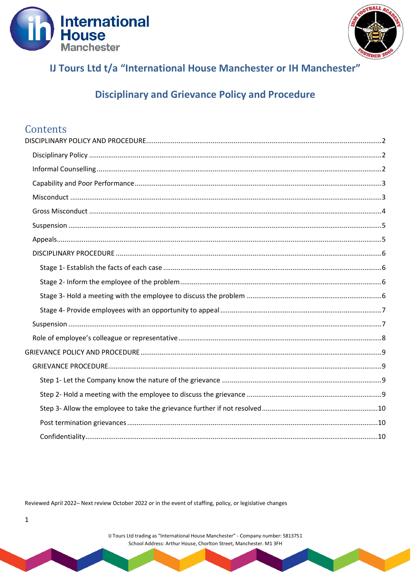



# IJ Tours Ltd t/a "International House Manchester or IH Manchester"

## **Disciplinary and Grievance Policy and Procedure**

## Contents

Reviewed April 2022- Next review October 2022 or in the event of staffing, policy, or legislative changes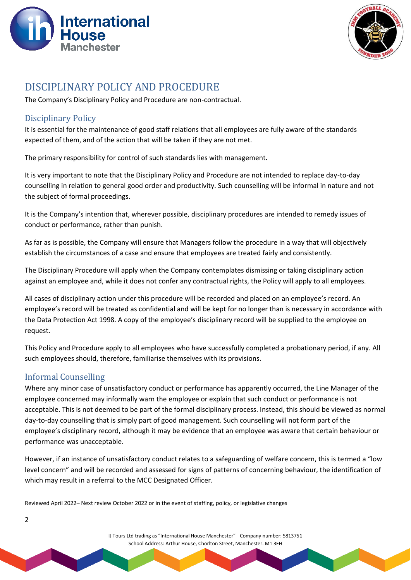



## <span id="page-1-0"></span>DISCIPLINARY POLICY AND PROCEDURE

The Company's Disciplinary Policy and Procedure are non-contractual.

### <span id="page-1-1"></span>Disciplinary Policy

It is essential for the maintenance of good staff relations that all employees are fully aware of the standards expected of them, and of the action that will be taken if they are not met.

The primary responsibility for control of such standards lies with management.

It is very important to note that the Disciplinary Policy and Procedure are not intended to replace day-to-day counselling in relation to general good order and productivity. Such counselling will be informal in nature and not the subject of formal proceedings.

It is the Company's intention that, wherever possible, disciplinary procedures are intended to remedy issues of conduct or performance, rather than punish.

As far as is possible, the Company will ensure that Managers follow the procedure in a way that will objectively establish the circumstances of a case and ensure that employees are treated fairly and consistently.

The Disciplinary Procedure will apply when the Company contemplates dismissing or taking disciplinary action against an employee and, while it does not confer any contractual rights, the Policy will apply to all employees.

All cases of disciplinary action under this procedure will be recorded and placed on an employee's record. An employee's record will be treated as confidential and will be kept for no longer than is necessary in accordance with the Data Protection Act 1998. A copy of the employee's disciplinary record will be supplied to the employee on request.

This Policy and Procedure apply to all employees who have successfully completed a probationary period, if any. All such employees should, therefore, familiarise themselves with its provisions.

## <span id="page-1-2"></span>Informal Counselling

2

Where any minor case of unsatisfactory conduct or performance has apparently occurred, the Line Manager of the employee concerned may informally warn the employee or explain that such conduct or performance is not acceptable. This is not deemed to be part of the formal disciplinary process. Instead, this should be viewed as normal day-to-day counselling that is simply part of good management. Such counselling will not form part of the employee's disciplinary record, although it may be evidence that an employee was aware that certain behaviour or performance was unacceptable.

However, if an instance of unsatisfactory conduct relates to a safeguarding of welfare concern, this is termed a "low level concern" and will be recorded and assessed for signs of patterns of concerning behaviour, the identification of which may result in a referral to the MCC Designated Officer.

Reviewed April 2022– Next review October 2022 or in the event of staffing, policy, or legislative changes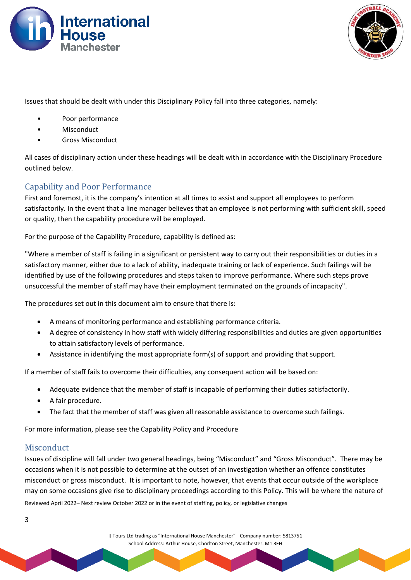



Issues that should be dealt with under this Disciplinary Policy fall into three categories, namely:

- Poor performance
- **Misconduct**
- Gross Misconduct

All cases of disciplinary action under these headings will be dealt with in accordance with the Disciplinary Procedure outlined below.

#### <span id="page-2-0"></span>Capability and Poor Performance

First and foremost, it is the company's intention at all times to assist and support all employees to perform satisfactorily. In the event that a line manager believes that an employee is not performing with sufficient skill, speed or quality, then the capability procedure will be employed.

For the purpose of the Capability Procedure, capability is defined as:

"Where a member of staff is failing in a significant or persistent way to carry out their responsibilities or duties in a satisfactory manner, either due to a lack of ability, inadequate training or lack of experience. Such failings will be identified by use of the following procedures and steps taken to improve performance. Where such steps prove unsuccessful the member of staff may have their employment terminated on the grounds of incapacity".

The procedures set out in this document aim to ensure that there is:

- A means of monitoring performance and establishing performance criteria.
- A degree of consistency in how staff with widely differing responsibilities and duties are given opportunities to attain satisfactory levels of performance.
- Assistance in identifying the most appropriate form(s) of support and providing that support.

If a member of staff fails to overcome their difficulties, any consequent action will be based on:

- Adequate evidence that the member of staff is incapable of performing their duties satisfactorily.
- A fair procedure.
- The fact that the member of staff was given all reasonable assistance to overcome such failings.

For more information, please see the Capability Policy and Procedure

#### <span id="page-2-1"></span>**Misconduct**

Reviewed April 2022– Next review October 2022 or in the event of staffing, policy, or legislative changes Issues of discipline will fall under two general headings, being "Misconduct" and "Gross Misconduct". There may be occasions when it is not possible to determine at the outset of an investigation whether an offence constitutes misconduct or gross misconduct. It is important to note, however, that events that occur outside of the workplace may on some occasions give rise to disciplinary proceedings according to this Policy. This will be where the nature of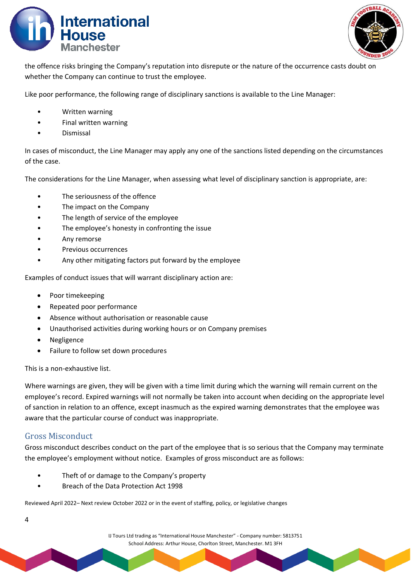



the offence risks bringing the Company's reputation into disrepute or the nature of the occurrence casts doubt on whether the Company can continue to trust the employee.

Like poor performance, the following range of disciplinary sanctions is available to the Line Manager:

- Written warning
- Final written warning
- Dismissal

In cases of misconduct, the Line Manager may apply any one of the sanctions listed depending on the circumstances of the case.

The considerations for the Line Manager, when assessing what level of disciplinary sanction is appropriate, are:

- The seriousness of the offence
- The impact on the Company
- The length of service of the employee
- The employee's honesty in confronting the issue
- Any remorse
- Previous occurrences
- Any other mitigating factors put forward by the employee

Examples of conduct issues that will warrant disciplinary action are:

- Poor timekeeping
- Repeated poor performance
- Absence without authorisation or reasonable cause
- Unauthorised activities during working hours or on Company premises
- Negligence
- Failure to follow set down procedures

This is a non-exhaustive list.

Where warnings are given, they will be given with a time limit during which the warning will remain current on the employee's record. Expired warnings will not normally be taken into account when deciding on the appropriate level of sanction in relation to an offence, except inasmuch as the expired warning demonstrates that the employee was aware that the particular course of conduct was inappropriate.

#### <span id="page-3-0"></span>Gross Misconduct

Gross misconduct describes conduct on the part of the employee that is so serious that the Company may terminate the employee's employment without notice. Examples of gross misconduct are as follows:

- Theft of or damage to the Company's property
- Breach of the Data Protection Act 1998

Reviewed April 2022– Next review October 2022 or in the event of staffing, policy, or legislative changes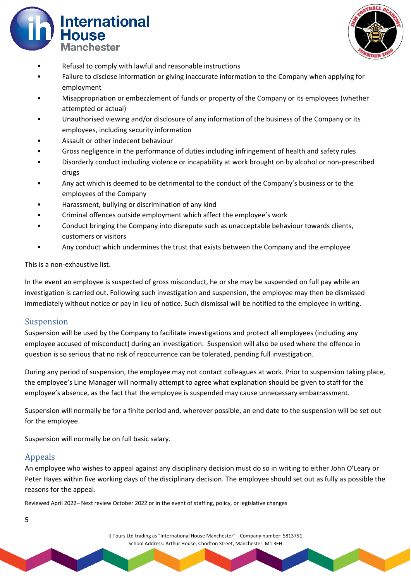



- Refusal to comply with lawful and reasonable instructions
- Failure to disclose information or giving inaccurate information to the Company when applying for employment
- Misappropriation or embezzlement of funds or property of the Company or its employees (whether attempted or actual)
- Unauthorised viewing and/or disclosure of any information of the business of the Company or its employees, including security information
- Assault or other indecent behaviour
- Gross negligence in the performance of duties including infringement of health and safety rules
- Disorderly conduct including violence or incapability at work brought on by alcohol or non-prescribed drugs
- Any act which is deemed to be detrimental to the conduct of the Company's business or to the employees of the Company
- Harassment, bullying or discrimination of any kind
- Criminal offences outside employment which affect the employee's work
- Conduct bringing the Company into disrepute such as unacceptable behaviour towards clients, customers or visitors
- Any conduct which undermines the trust that exists between the Company and the employee

This is a non-exhaustive list.

In the event an employee is suspected of gross misconduct, he or she may be suspended on full pay while an investigation is carried out. Following such investigation and suspension, the employee may then be dismissed immediately without notice or pay in lieu of notice. Such dismissal will be notified to the employee in writing.

#### <span id="page-4-0"></span>Suspension

Suspension will be used by the Company to facilitate investigations and protect all employees (including any employee accused of misconduct) during an investigation. Suspension will also be used where the offence in question is so serious that no risk of reoccurrence can be tolerated, pending full investigation.

During any period of suspension, the employee may not contact colleagues at work. Prior to suspension taking place, the employee's Line Manager will normally attempt to agree what explanation should be given to staff for the employee's absence, as the fact that the employee is suspended may cause unnecessary embarrassment.

Suspension will normally be for a finite period and, wherever possible, an end date to the suspension will be set out for the employee.

Suspension will normally be on full basic salary.

#### <span id="page-4-1"></span>Appeals

An employee who wishes to appeal against any disciplinary decision must do so in writing to either John O'Leary or Peter Hayes within five working days of the disciplinary decision. The employee should set out as fully as possible the reasons for the appeal.

Reviewed April 2022– Next review October 2022 or in the event of staffing, policy, or legislative changes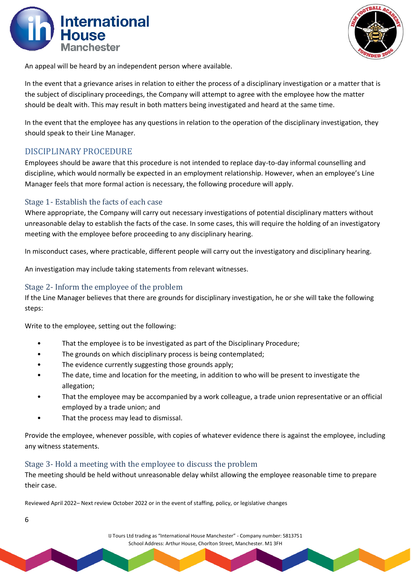



An appeal will be heard by an independent person where available.

In the event that a grievance arises in relation to either the process of a disciplinary investigation or a matter that is the subject of disciplinary proceedings, the Company will attempt to agree with the employee how the matter should be dealt with. This may result in both matters being investigated and heard at the same time.

In the event that the employee has any questions in relation to the operation of the disciplinary investigation, they should speak to their Line Manager.

### <span id="page-5-0"></span>DISCIPLINARY PROCEDURE

Employees should be aware that this procedure is not intended to replace day-to-day informal counselling and discipline, which would normally be expected in an employment relationship. However, when an employee's Line Manager feels that more formal action is necessary, the following procedure will apply.

#### <span id="page-5-1"></span>Stage 1- Establish the facts of each case

Where appropriate, the Company will carry out necessary investigations of potential disciplinary matters without unreasonable delay to establish the facts of the case. In some cases, this will require the holding of an investigatory meeting with the employee before proceeding to any disciplinary hearing.

In misconduct cases, where practicable, different people will carry out the investigatory and disciplinary hearing.

An investigation may include taking statements from relevant witnesses.

#### <span id="page-5-2"></span>Stage 2- Inform the employee of the problem

If the Line Manager believes that there are grounds for disciplinary investigation, he or she will take the following steps:

Write to the employee, setting out the following:

- That the employee is to be investigated as part of the Disciplinary Procedure;
- The grounds on which disciplinary process is being contemplated;
- The evidence currently suggesting those grounds apply;
- The date, time and location for the meeting, in addition to who will be present to investigate the allegation;
- That the employee may be accompanied by a work colleague, a trade union representative or an official employed by a trade union; and
- That the process may lead to dismissal.

Provide the employee, whenever possible, with copies of whatever evidence there is against the employee, including any witness statements.

#### <span id="page-5-3"></span>Stage 3- Hold a meeting with the employee to discuss the problem

The meeting should be held without unreasonable delay whilst allowing the employee reasonable time to prepare their case.

Reviewed April 2022– Next review October 2022 or in the event of staffing, policy, or legislative changes

6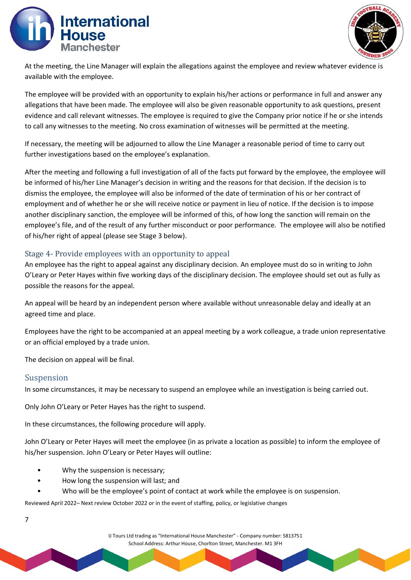



At the meeting, the Line Manager will explain the allegations against the employee and review whatever evidence is available with the employee.

The employee will be provided with an opportunity to explain his/her actions or performance in full and answer any allegations that have been made. The employee will also be given reasonable opportunity to ask questions, present evidence and call relevant witnesses. The employee is required to give the Company prior notice if he or she intends to call any witnesses to the meeting. No cross examination of witnesses will be permitted at the meeting.

If necessary, the meeting will be adjourned to allow the Line Manager a reasonable period of time to carry out further investigations based on the employee's explanation.

After the meeting and following a full investigation of all of the facts put forward by the employee, the employee will be informed of his/her Line Manager's decision in writing and the reasons for that decision. If the decision is to dismiss the employee, the employee will also be informed of the date of termination of his or her contract of employment and of whether he or she will receive notice or payment in lieu of notice. If the decision is to impose another disciplinary sanction, the employee will be informed of this, of how long the sanction will remain on the employee's file, and of the result of any further misconduct or poor performance. The employee will also be notified of his/her right of appeal (please see Stage 3 below).

#### <span id="page-6-0"></span>Stage 4- Provide employees with an opportunity to appeal

An employee has the right to appeal against any disciplinary decision. An employee must do so in writing to John O'Leary or Peter Hayes within five working days of the disciplinary decision. The employee should set out as fully as possible the reasons for the appeal.

An appeal will be heard by an independent person where available without unreasonable delay and ideally at an agreed time and place.

Employees have the right to be accompanied at an appeal meeting by a work colleague, a trade union representative or an official employed by a trade union.

The decision on appeal will be final.

#### <span id="page-6-1"></span>Suspension

7

In some circumstances, it may be necessary to suspend an employee while an investigation is being carried out.

Only John O'Leary or Peter Hayes has the right to suspend.

In these circumstances, the following procedure will apply.

John O'Leary or Peter Hayes will meet the employee (in as private a location as possible) to inform the employee of his/her suspension. John O'Leary or Peter Hayes will outline:

- Why the suspension is necessary;
- How long the suspension will last; and
- Who will be the employee's point of contact at work while the employee is on suspension.

Reviewed April 2022– Next review October 2022 or in the event of staffing, policy, or legislative changes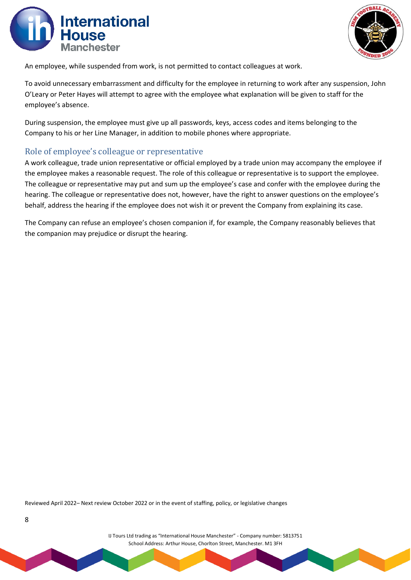



An employee, while suspended from work, is not permitted to contact colleagues at work.

To avoid unnecessary embarrassment and difficulty for the employee in returning to work after any suspension, John O'Leary or Peter Hayes will attempt to agree with the employee what explanation will be given to staff for the employee's absence.

During suspension, the employee must give up all passwords, keys, access codes and items belonging to the Company to his or her Line Manager, in addition to mobile phones where appropriate.

#### <span id="page-7-0"></span>Role of employee's colleague or representative

A work colleague, trade union representative or official employed by a trade union may accompany the employee if the employee makes a reasonable request. The role of this colleague or representative is to support the employee. The colleague or representative may put and sum up the employee's case and confer with the employee during the hearing. The colleague or representative does not, however, have the right to answer questions on the employee's behalf, address the hearing if the employee does not wish it or prevent the Company from explaining its case.

The Company can refuse an employee's chosen companion if, for example, the Company reasonably believes that the companion may prejudice or disrupt the hearing.

Reviewed April 2022– Next review October 2022 or in the event of staffing, policy, or legislative changes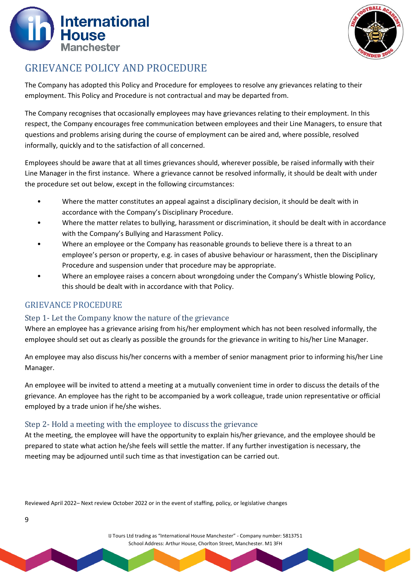



## <span id="page-8-0"></span>GRIEVANCE POLICY AND PROCEDURE

The Company has adopted this Policy and Procedure for employees to resolve any grievances relating to their employment. This Policy and Procedure is not contractual and may be departed from.

The Company recognises that occasionally employees may have grievances relating to their employment. In this respect, the Company encourages free communication between employees and their Line Managers, to ensure that questions and problems arising during the course of employment can be aired and, where possible, resolved informally, quickly and to the satisfaction of all concerned.

Employees should be aware that at all times grievances should, wherever possible, be raised informally with their Line Manager in the first instance. Where a grievance cannot be resolved informally, it should be dealt with under the procedure set out below, except in the following circumstances:

- Where the matter constitutes an appeal against a disciplinary decision, it should be dealt with in accordance with the Company's Disciplinary Procedure.
- Where the matter relates to bullying, harassment or discrimination, it should be dealt with in accordance with the Company's Bullying and Harassment Policy.
- Where an employee or the Company has reasonable grounds to believe there is a threat to an employee's person or property, e.g. in cases of abusive behaviour or harassment, then the Disciplinary Procedure and suspension under that procedure may be appropriate.
- Where an employee raises a concern about wrongdoing under the Company's Whistle blowing Policy, this should be dealt with in accordance with that Policy.

### <span id="page-8-1"></span>GRIEVANCE PROCEDURE

9

#### <span id="page-8-2"></span>Step 1- Let the Company know the nature of the grievance

Where an employee has a grievance arising from his/her employment which has not been resolved informally, the employee should set out as clearly as possible the grounds for the grievance in writing to his/her Line Manager.

An employee may also discuss his/her concerns with a member of senior managment prior to informing his/her Line Manager.

An employee will be invited to attend a meeting at a mutually convenient time in order to discuss the details of the grievance. An employee has the right to be accompanied by a work colleague, trade union representative or official employed by a trade union if he/she wishes.

#### <span id="page-8-3"></span>Step 2- Hold a meeting with the employee to discuss the grievance

At the meeting, the employee will have the opportunity to explain his/her grievance, and the employee should be prepared to state what action he/she feels will settle the matter. If any further investigation is necessary, the meeting may be adjourned until such time as that investigation can be carried out.

Reviewed April 2022– Next review October 2022 or in the event of staffing, policy, or legislative changes